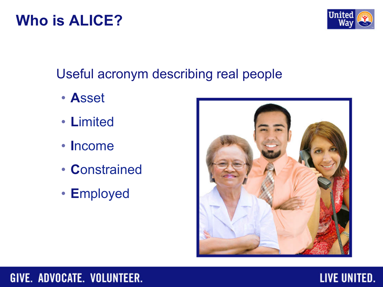# **Who is ALICE?**



### Useful acronym describing real people

- **A**sset
- **L**imited
- **I**ncome
- **C**onstrained
- **E**mployed



#### GIVE. ADVOCATE. VOLUNTEER.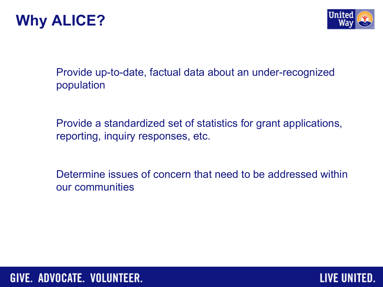



Provide up-to-date, factual data about an under-recognized population

Provide a standardized set of statistics for grant applications, reporting, inquiry responses, etc.

Determine issues of concern that need to be addressed within our communities

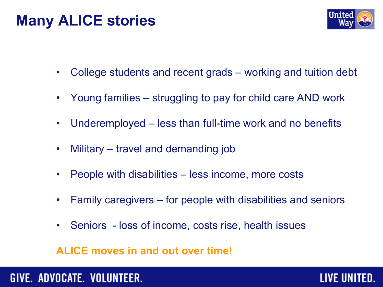# **Many ALICE stories**



- College students and recent grads working and tuition debt
- Young families struggling to pay for child care AND work
- Underemployed less than full-time work and no benefits
- Military travel and demanding job
- People with disabilities less income, more costs
- Family caregivers for people with disabilities and seniors
- Seniors loss of income, costs rise, health issues

#### **ALICE moves in and out over time!**

#### GIVE. ADVOCATE. VOLUNTEER.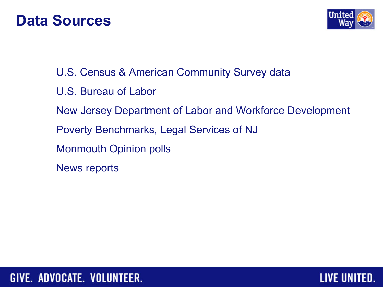



U.S. Census & American Community Survey data

- U.S. Bureau of Labor
- New Jersey Department of Labor and Workforce Development
- Poverty Benchmarks, Legal Services of NJ
- Monmouth Opinion polls
- News reports

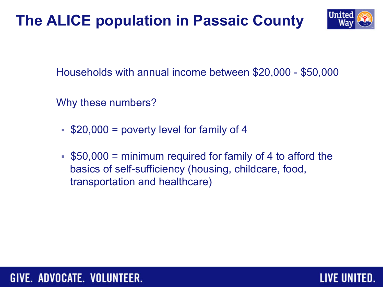# **The ALICE population in Passaic County**



Households with annual income between \$20,000 - \$50,000

Why these numbers?

- $\bullet$  \$20,000 = poverty level for family of 4
- $\bullet$  \$50,000 = minimum required for family of 4 to afford the basics of self-sufficiency (housing, childcare, food, transportation and healthcare)

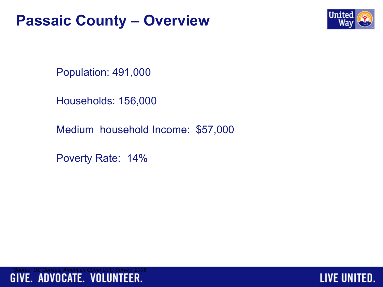### **Passaic County – Overview**



Population: 491,000

Households: 156,000

Medium household Income: \$57,000

Poverty Rate: 14%

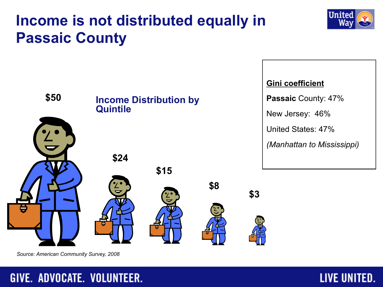# **Income is not distributed equally in Passaic County**





*Source: American Community Survey, 2008* 

#### GIVE. ADVOCATE. VOLUNTEER.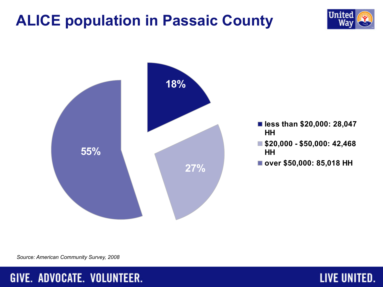# **ALICE population in Passaic County**





*Source: American Community Survey, 2008* 

#### GIVE. ADVOCATE. VOLUNTEER.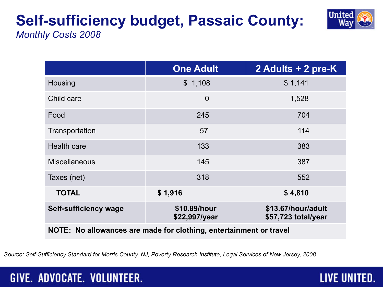### **Self-sufficiency budget, Passaic County:**  *Monthly Costs 2008*



**LIVE UNITED.** 

|                                                                    | <b>One Adult</b>              | 2 Adults + 2 pre-K                        |  |
|--------------------------------------------------------------------|-------------------------------|-------------------------------------------|--|
| Housing                                                            | \$1,108                       | \$1,141                                   |  |
| Child care                                                         | $\overline{0}$                | 1,528                                     |  |
| Food                                                               | 245                           | 704                                       |  |
| Transportation                                                     | 57                            | 114                                       |  |
| <b>Health care</b>                                                 | 133                           | 383                                       |  |
| <b>Miscellaneous</b>                                               | 145                           | 387                                       |  |
| Taxes (net)                                                        | 318                           | 552                                       |  |
| <b>TOTAL</b>                                                       | \$1,916                       | \$4,810                                   |  |
| <b>Self-sufficiency wage</b>                                       | \$10.89/hour<br>\$22,997/year | \$13.67/hour/adult<br>\$57,723 total/year |  |
| NOTE: No allowances are made for clothing, entertainment or travel |                               |                                           |  |

*Source: Self-Sufficiency Standard for Morris County, NJ, Poverty Research Institute, Legal Services of New Jersey, 2008*

### GIVE. ADVOCATE. VOLUNTEER.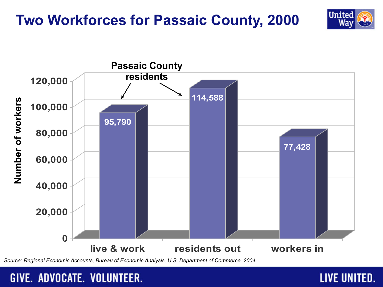### **Two Workforces for Passaic County, 2000**





*Source: Regional Economic Accounts, Bureau of Economic Analysis, U.S. Department of Commerce, 2004* 

#### GIVE. ADVOCATE. VOLUNTEER.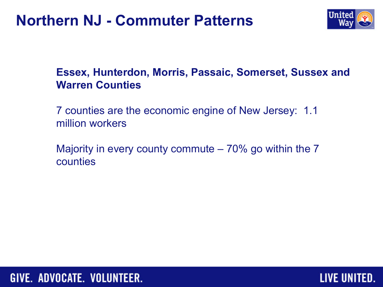### **Northern NJ - Commuter Patterns**



#### **Essex, Hunterdon, Morris, Passaic, Somerset, Sussex and Warren Counties**

7 counties are the economic engine of New Jersey: 1.1 million workers

Majority in every county commute – 70% go within the 7 counties

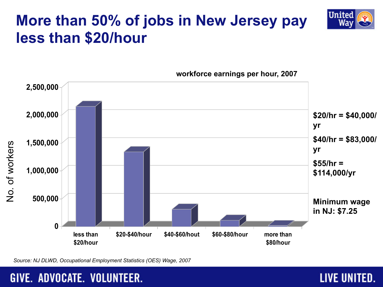# **More than 50% of jobs in New Jersey pay less than \$20/hour**



**workforce earnings per hour, 2007**

United

**LIVE UNITED.** 

*Source: NJ DLWD, Occupational Employment Statistics (OES) Wage, 2007* 

### GIVE. ADVOCATE. VOLUNTEER.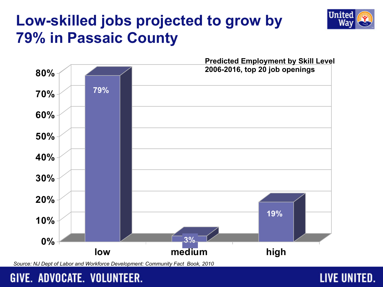# **Low-skilled jobs projected to grow by 79% in Passaic County**



*Source: NJ Dept of Labor and Workforce Development: Community Fact Book, 2010* 

### GIVE. ADVOCATE. VOLUNTEER.

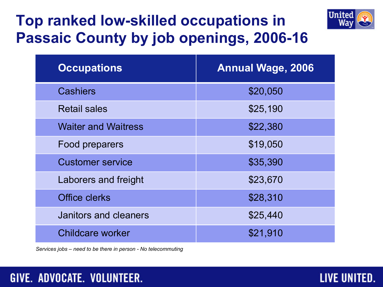# **Top ranked low-skilled occupations in Passaic County by job openings, 2006-16**



| <b>Occupations</b>           | <b>Annual Wage, 2006</b> |
|------------------------------|--------------------------|
| <b>Cashiers</b>              | \$20,050                 |
| <b>Retail sales</b>          | \$25,190                 |
| <b>Waiter and Waitress</b>   | \$22,380                 |
| Food preparers               | \$19,050                 |
| <b>Customer service</b>      | \$35,390                 |
| Laborers and freight         | \$23,670                 |
| Office clerks                | \$28,310                 |
| <b>Janitors and cleaners</b> | \$25,440                 |
| <b>Childcare worker</b>      | \$21,910                 |

*Services jobs – need to be there in person - No telecommuting* 

### **GIVE. ADVOCATE. VOLUNTEER.**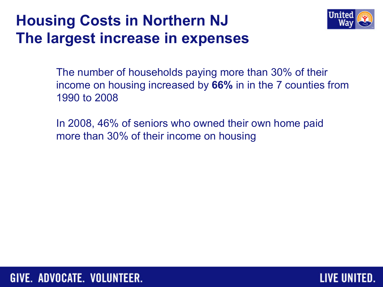# **Housing Costs in Northern NJ The largest increase in expenses**



The number of households paying more than 30% of their income on housing increased by **66%** in in the 7 counties from 1990 to 2008

In 2008, 46% of seniors who owned their own home paid more than 30% of their income on housing

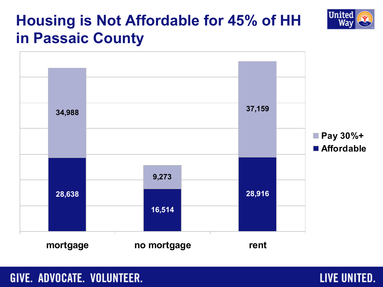# United

# **Housing is Not Affordable for 45% of HH in Passaic County**



### GIVE. ADVOCATE. VOLUNTEER.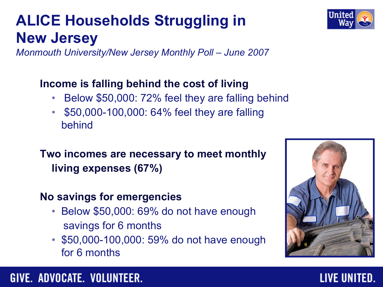# **ALICE Households Struggling in New Jersey**

*Monmouth University/New Jersey Monthly Poll – June 2007* 

### **Income is falling behind the cost of living**

- Below \$50,000: 72% feel they are falling behind
- \$50,000-100,000: 64% feel they are falling behind

### **Two incomes are necessary to meet monthly living expenses (67%)**

#### **No savings for emergencies**

- Below \$50,000: 69% do not have enough savings for 6 months
- \$50,000-100,000: 59% do not have enough for 6 months



LIVE UNITED.

#### **GIVE. ADVOCATE. VOLUNTEER.**

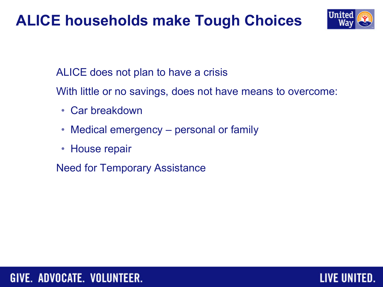# **ALICE households make Tough Choices**



ALICE does not plan to have a crisis

With little or no savings, does not have means to overcome:

- Car breakdown
- Medical emergency personal or family
- House repair

Need for Temporary Assistance